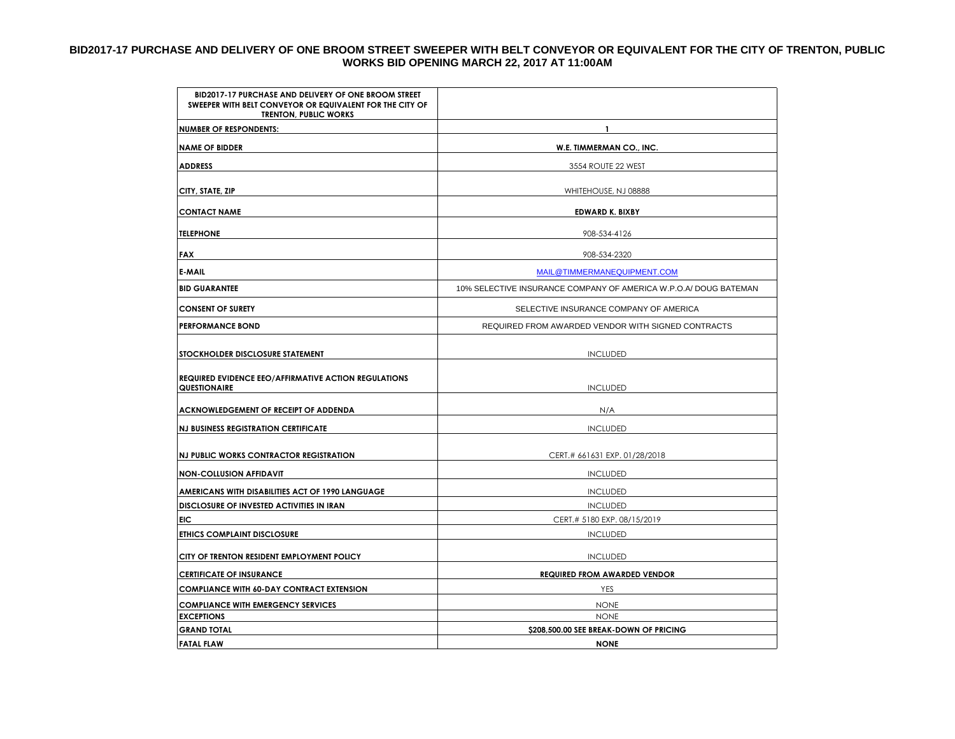## **BID2017-17 PURCHASE AND DELIVERY OF ONE BROOM STREET SWEEPER WITH BELT CONVEYOR OR EQUIVALENT FOR THE CITY OF TRENTON, PUBLIC WORKS BID OPENING MARCH 22, 2017 AT 11:00AM**

| BID2017-17 PURCHASE AND DELIVERY OF ONE BROOM STREET<br>SWEEPER WITH BELT CONVEYOR OR EQUIVALENT FOR THE CITY OF<br><b>TRENTON, PUBLIC WORKS</b> |                                                                  |  |  |
|--------------------------------------------------------------------------------------------------------------------------------------------------|------------------------------------------------------------------|--|--|
| <b>NUMBER OF RESPONDENTS:</b>                                                                                                                    | $\mathbf{1}$                                                     |  |  |
| <b>NAME OF BIDDER</b>                                                                                                                            | W.E. TIMMERMAN CO., INC.                                         |  |  |
| <b>ADDRESS</b>                                                                                                                                   | 3554 ROUTE 22 WEST                                               |  |  |
| CITY, STATE, ZIP                                                                                                                                 | WHITEHOUSE, NJ 08888                                             |  |  |
| <b>CONTACT NAME</b>                                                                                                                              | <b>EDWARD K. BIXBY</b>                                           |  |  |
| <b>TELEPHONE</b>                                                                                                                                 | 908-534-4126                                                     |  |  |
| <b>FAX</b>                                                                                                                                       | 908-534-2320                                                     |  |  |
| E-MAIL                                                                                                                                           | MAIL@TIMMERMANEQUIPMENT.COM                                      |  |  |
| <b>BID GUARANTEE</b>                                                                                                                             | 10% SELECTIVE INSURANCE COMPANY OF AMERICA W.P.O.A/ DOUG BATEMAN |  |  |
| <b>CONSENT OF SURETY</b>                                                                                                                         | SELECTIVE INSURANCE COMPANY OF AMERICA                           |  |  |
| <b>PERFORMANCE BOND</b>                                                                                                                          | REQUIRED FROM AWARDED VENDOR WITH SIGNED CONTRACTS               |  |  |
| STOCKHOLDER DISCLOSURE STATEMENT                                                                                                                 | <b>INCLUDED</b>                                                  |  |  |
| <b>REQUIRED EVIDENCE EEO/AFFIRMATIVE ACTION REGULATIONS</b><br>QUESTIONAIRE                                                                      | <b>INCLUDED</b>                                                  |  |  |
| ACKNOWLEDGEMENT OF RECEIPT OF ADDENDA                                                                                                            | N/A                                                              |  |  |
| <b>NJ BUSINESS REGISTRATION CERTIFICATE</b>                                                                                                      | <b>INCLUDED</b>                                                  |  |  |
| NJ PUBLIC WORKS CONTRACTOR REGISTRATION                                                                                                          | CERT.# 661631 EXP. 01/28/2018                                    |  |  |
| <b>NON-COLLUSION AFFIDAVIT</b>                                                                                                                   | <b>INCLUDED</b>                                                  |  |  |
| AMERICANS WITH DISABILITIES ACT OF 1990 LANGUAGE                                                                                                 | <b>INCLUDED</b>                                                  |  |  |
| DISCLOSURE OF INVESTED ACTIVITIES IN IRAN                                                                                                        | <b>INCLUDED</b>                                                  |  |  |
| <b>EIC</b>                                                                                                                                       | CERT.# 5180 EXP. 08/15/2019                                      |  |  |
| <b>ETHICS COMPLAINT DISCLOSURE</b>                                                                                                               | <b>INCLUDED</b>                                                  |  |  |
| CITY OF TRENTON RESIDENT EMPLOYMENT POLICY                                                                                                       | <b>INCLUDED</b>                                                  |  |  |
| <b>CERTIFICATE OF INSURANCE</b>                                                                                                                  | <b>REQUIRED FROM AWARDED VENDOR</b>                              |  |  |
| <b>COMPLIANCE WITH 60-DAY CONTRACT EXTENSION</b>                                                                                                 | <b>YES</b>                                                       |  |  |
| <b>COMPLIANCE WITH EMERGENCY SERVICES</b>                                                                                                        | <b>NONE</b>                                                      |  |  |
| <b>EXCEPTIONS</b>                                                                                                                                | <b>NONE</b>                                                      |  |  |
| <b>GRAND TOTAL</b>                                                                                                                               | \$208,500.00 SEE BREAK-DOWN OF PRICING                           |  |  |
| <b>FATAL FLAW</b>                                                                                                                                | <b>NONE</b>                                                      |  |  |